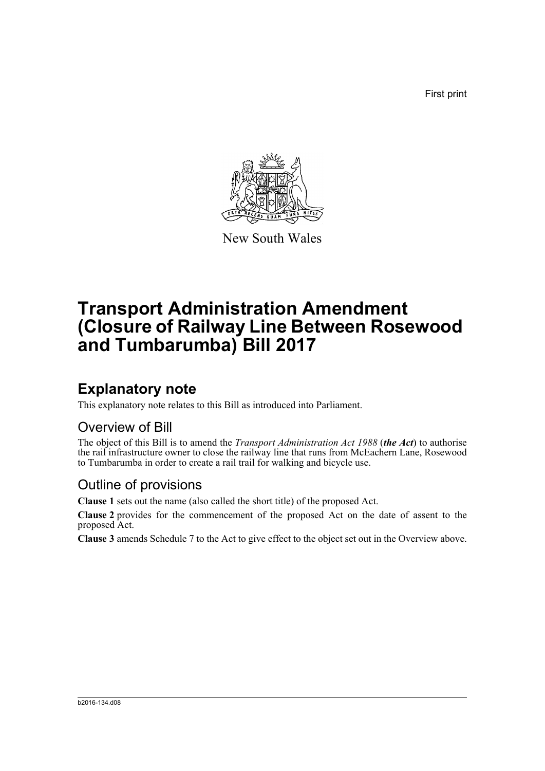First print



New South Wales

# **Transport Administration Amendment (Closure of Railway Line Between Rosewood and Tumbarumba) Bill 2017**

## **Explanatory note**

This explanatory note relates to this Bill as introduced into Parliament.

#### Overview of Bill

The object of this Bill is to amend the *Transport Administration Act 1988* (*the Act*) to authorise the rail infrastructure owner to close the railway line that runs from McEachern Lane, Rosewood to Tumbarumba in order to create a rail trail for walking and bicycle use.

#### Outline of provisions

**Clause 1** sets out the name (also called the short title) of the proposed Act.

**Clause 2** provides for the commencement of the proposed Act on the date of assent to the proposed Act.

**Clause 3** amends Schedule 7 to the Act to give effect to the object set out in the Overview above.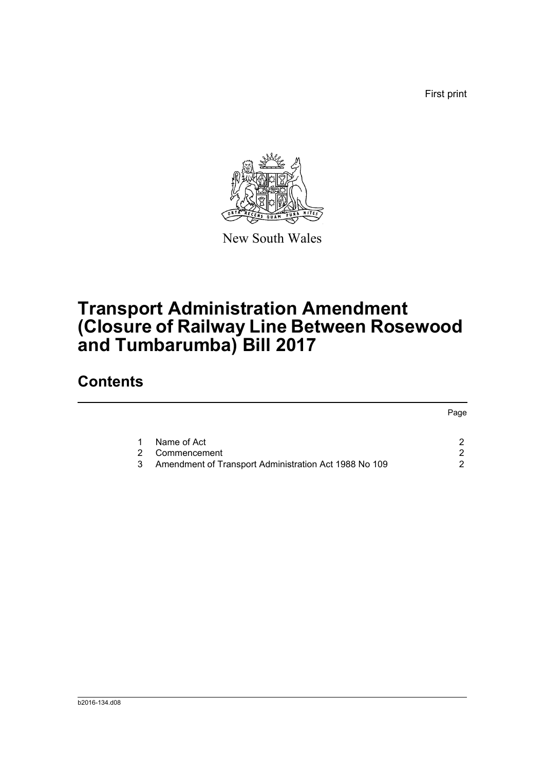First print



New South Wales

# **Transport Administration Amendment (Closure of Railway Line Between Rosewood and Tumbarumba) Bill 2017**

### **Contents**

|               |                                                       | Page |
|---------------|-------------------------------------------------------|------|
|               | Name of Act                                           |      |
| $\mathcal{P}$ | Commencement                                          |      |
| 3             | Amendment of Transport Administration Act 1988 No 109 | 2    |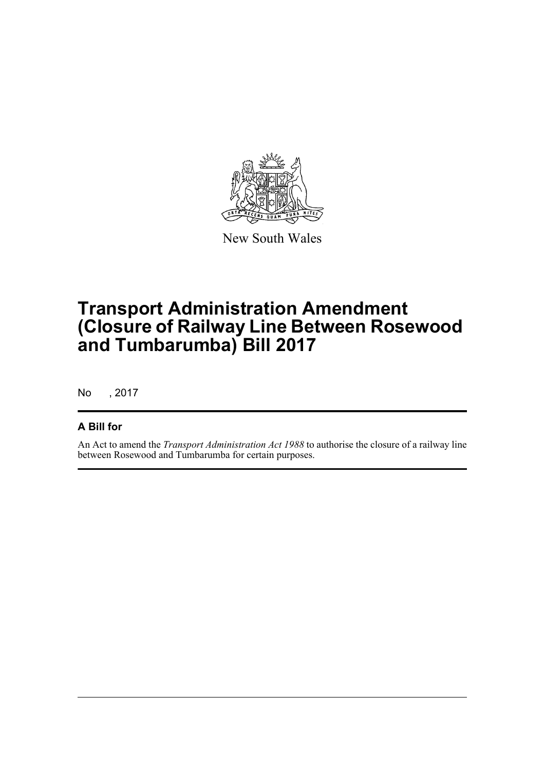

New South Wales

# **Transport Administration Amendment (Closure of Railway Line Between Rosewood and Tumbarumba) Bill 2017**

No , 2017

#### **A Bill for**

An Act to amend the *Transport Administration Act 1988* to authorise the closure of a railway line between Rosewood and Tumbarumba for certain purposes.